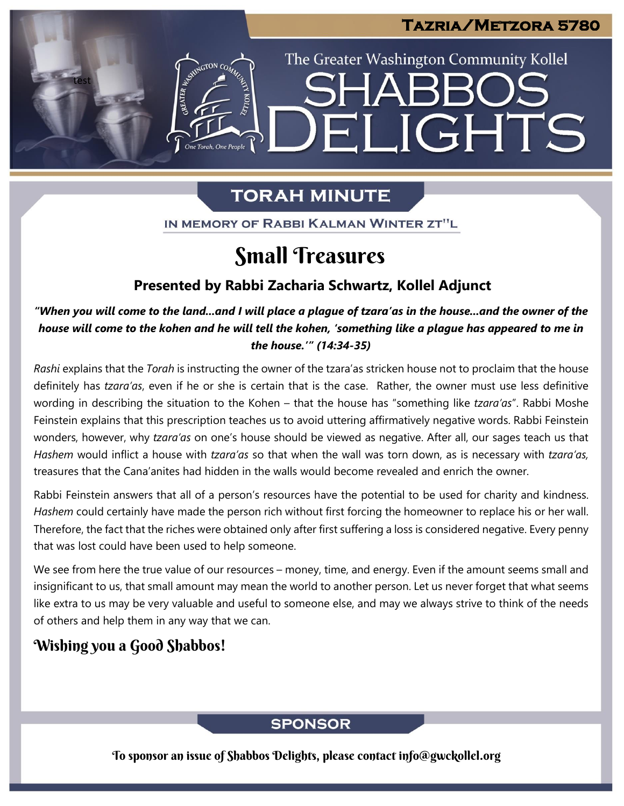## **Tazria/Metzora 5780**

The Greater Washington Community Kollel

ELIGHTS

# **TORAH MINUTE**

IN MEMORY OF RABBI KALMAN WINTER ZT"L

# Small Treasures

### **Presented by Rabbi Zacharia Schwartz, Kollel Adjunct**

"When you will come to the land...and I will place a plague of tzara'as in the house...and the owner of the house will come to the kohen and he will tell the kohen, 'something like a plague has appeared to me in *the house.'" (14:34-35)*

*Rashi* explains that the *Torah* is instructing the owner of the tzara'as stricken house not to proclaim that the house definitely has *tzara'as*, even if he or she is certain that is the case. Rather, the owner must use less definitive wording in describing the situation to the Kohen – that the house has "something like *tzara'as*". Rabbi Moshe Feinstein explains that this prescription teaches us to avoid uttering affirmatively negative words. Rabbi Feinstein wonders, however, why *tzara'as* on one's house should be viewed as negative. After all, our sages teach us that *Hashem* would inflict a house with *tzara'as* so that when the wall was torn down, as is necessary with *tzara'as,* treasures that the Cana'anites had hidden in the walls would become revealed and enrich the owner.

Rabbi Feinstein answers that all of a person's resources have the potential to be used for charity and kindness. *Hashem* could certainly have made the person rich without first forcing the homeowner to replace his or her wall. Therefore, the fact that the riches were obtained only after first suffering a loss is considered negative. Every penny that was lost could have been used to help someone.

We see from here the true value of our resources – money, time, and energy. Even if the amount seems small and insignificant to us, that small amount may mean the world to another person. Let us never forget that what seems like extra to us may be very valuable and useful to someone else, and may we always strive to think of the needs of others and help them in any way that we can.

## Wishing you a Good Shabbos!

test

## **SPONSOR**

To sponsor an issue of Shabbos Delights, please contact info@gwckollel.org